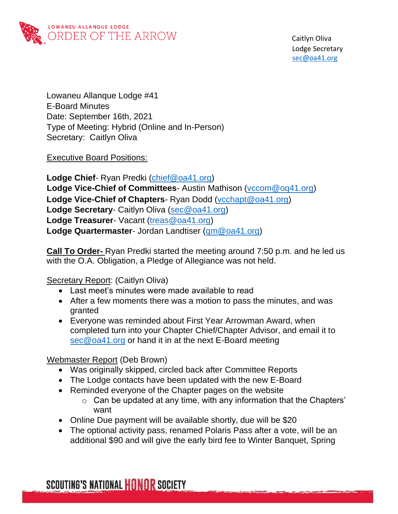

Lowaneu Allanque Lodge #41 E-Board Minutes Date: September 16th, 2021 Type of Meeting: Hybrid (Online and In-Person) Secretary: Caitlyn Oliva

Executive Board Positions:

**Lodge Chief**- Ryan Predki [\(chief@oa41.org\)](mailto:chief@oa41.org) **Lodge Vice-Chief of Committees**- Austin Mathison [\(vccom@oq41.org\)](mailto:vccom@oq41.org) **Lodge Vice-Chief of Chapters**- Ryan Dodd [\(vcchapt@oa41.org\)](mailto:vcchapt@oa41.org) **Lodge Secretary**- Caitlyn Oliva [\(sec@oa41.org\)](mailto:sec@oa41.org) **Lodge Treasurer**- Vacant [\(treas@oa41.org\)](mailto:treas@oa41.org) **Lodge Quartermaster**- Jordan Landtiser [\(qm@oa41.org\)](mailto:qm@oa41.org)

**Call To Order-** Ryan Predki started the meeting around 7:50 p.m. and he led us with the O.A. Obligation, a Pledge of Allegiance was not held.

#### Secretary Report: (Caitlyn Oliva)

- Last meet's minutes were made available to read
- After a few moments there was a motion to pass the minutes, and was granted
- Everyone was reminded about First Year Arrowman Award, when completed turn into your Chapter Chief/Chapter Advisor, and email it to [sec@oa41.org](mailto:sec@oa41.org) or hand it in at the next E-Board meeting

#### Webmaster Report (Deb Brown)

- Was originally skipped, circled back after Committee Reports
- The Lodge contacts have been updated with the new E-Board
- Reminded everyone of the Chapter pages on the website
	- o Can be updated at any time, with any information that the Chapters' want
- Online Due payment will be available shortly, due will be \$20
- The optional activity pass, renamed Polaris Pass after a vote, will be an additional \$90 and will give the early bird fee to Winter Banquet, Spring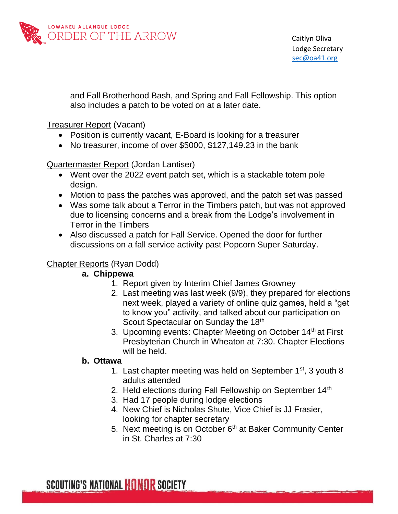

and Fall Brotherhood Bash, and Spring and Fall Fellowship. This option also includes a patch to be voted on at a later date.

Treasurer Report (Vacant)

- Position is currently vacant, E-Board is looking for a treasurer
- No treasurer, income of over \$5000, \$127,149.23 in the bank

Quartermaster Report (Jordan Lantiser)

- Went over the 2022 event patch set, which is a stackable totem pole design.
- Motion to pass the patches was approved, and the patch set was passed
- Was some talk about a Terror in the Timbers patch, but was not approved due to licensing concerns and a break from the Lodge's involvement in Terror in the Timbers
- Also discussed a patch for Fall Service. Opened the door for further discussions on a fall service activity past Popcorn Super Saturday.

## Chapter Reports (Ryan Dodd)

#### **a. Chippewa**

- 1. Report given by Interim Chief James Growney
- 2. Last meeting was last week (9/9), they prepared for elections next week, played a variety of online quiz games, held a "get to know you" activity, and talked about our participation on Scout Spectacular on Sunday the 18<sup>th</sup>
- 3. Upcoming events: Chapter Meeting on October 14<sup>th</sup> at First Presbyterian Church in Wheaton at 7:30. Chapter Elections will be held.

#### **b. Ottawa**

- 1. Last chapter meeting was held on September  $1<sup>st</sup>$ , 3 youth 8 adults attended
- 2. Held elections during Fall Fellowship on September 14<sup>th</sup>
- 3. Had 17 people during lodge elections
- 4. New Chief is Nicholas Shute, Vice Chief is JJ Frasier, looking for chapter secretary
- 5. Next meeting is on October 6<sup>th</sup> at Baker Community Center in St. Charles at 7:30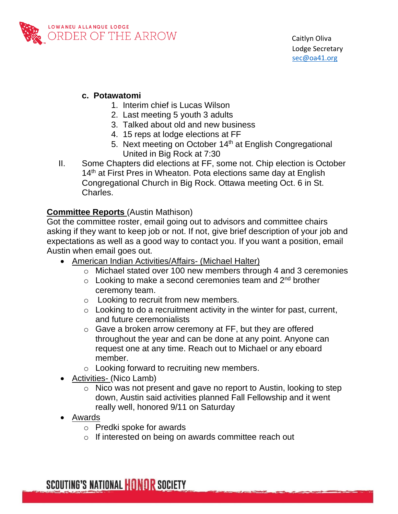

#### **c. Potawatomi**

- 1. Interim chief is Lucas Wilson
- 2. Last meeting 5 youth 3 adults
- 3. Talked about old and new business
- 4. 15 reps at lodge elections at FF
- 5. Next meeting on October 14<sup>th</sup> at English Congregational United in Big Rock at 7:30
- II. Some Chapters did elections at FF, some not. Chip election is October 14<sup>th</sup> at First Pres in Wheaton. Pota elections same day at English Congregational Church in Big Rock. Ottawa meeting Oct. 6 in St. Charles.

## **Committee Reports** (Austin Mathison)

Got the committee roster, email going out to advisors and committee chairs asking if they want to keep job or not. If not, give brief description of your job and expectations as well as a good way to contact you. If you want a position, email Austin when email goes out.

- American Indian Activities/Affairs- (Michael Halter)
	- o Michael stated over 100 new members through 4 and 3 ceremonies
	- $\circ$  Looking to make a second ceremonies team and 2<sup>nd</sup> brother ceremony team.
	- o Looking to recruit from new members.
	- $\circ$  Looking to do a recruitment activity in the winter for past, current, and future ceremonialists
	- o Gave a broken arrow ceremony at FF, but they are offered throughout the year and can be done at any point. Anyone can request one at any time. Reach out to Michael or any eboard member.
	- o Looking forward to recruiting new members.
- Activities- (Nico Lamb)
	- o Nico was not present and gave no report to Austin, looking to step down, Austin said activities planned Fall Fellowship and it went really well, honored 9/11 on Saturday
- Awards
	- o Predki spoke for awards
	- o If interested on being on awards committee reach out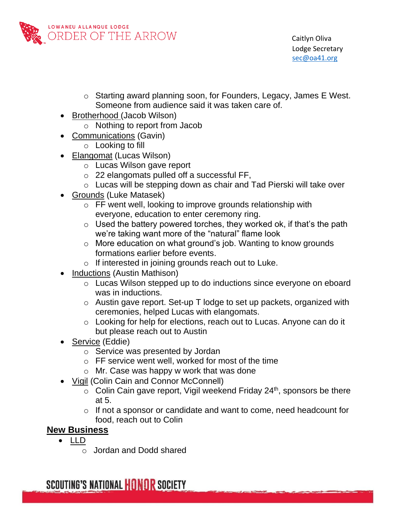

- o Starting award planning soon, for Founders, Legacy, James E West. Someone from audience said it was taken care of.
- Brotherhood (Jacob Wilson)
	- o Nothing to report from Jacob
- Communications (Gavin)
	- o Looking to fill
- Elangomat (Lucas Wilson)
	- o Lucas Wilson gave report
	- o 22 elangomats pulled off a successful FF,
	- o Lucas will be stepping down as chair and Tad Pierski will take over
- Grounds (Luke Matasek)
	- o FF went well, looking to improve grounds relationship with everyone, education to enter ceremony ring.
	- $\circ$  Used the battery powered torches, they worked ok, if that's the path we're taking want more of the "natural" flame look
	- o More education on what ground's job. Wanting to know grounds formations earlier before events.
	- o If interested in joining grounds reach out to Luke.
- Inductions (Austin Mathison)
	- o Lucas Wilson stepped up to do inductions since everyone on eboard was in inductions.
	- o Austin gave report. Set-up T lodge to set up packets, organized with ceremonies, helped Lucas with elangomats.
	- o Looking for help for elections, reach out to Lucas. Anyone can do it but please reach out to Austin
- Service (Eddie)
	- o Service was presented by Jordan
	- o FF service went well, worked for most of the time
	- o Mr. Case was happy w work that was done
- Vigil (Colin Cain and Connor McConnell)
	- $\circ$  Colin Cain gave report, Vigil weekend Friday 24<sup>th</sup>, sponsors be there at 5.
	- o If not a sponsor or candidate and want to come, need headcount for food, reach out to Colin

# **New Business**

- LLD
	- o Jordan and Dodd shared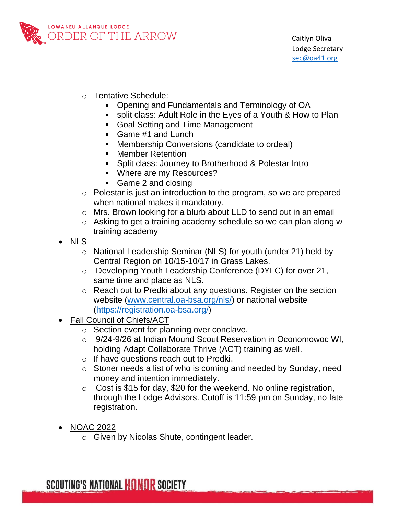

- o Tentative Schedule:
	- Opening and Fundamentals and Terminology of OA
	- split class: Adult Role in the Eyes of a Youth & How to Plan
	- Goal Setting and Time Management
	- Game #1 and Lunch
	- **Membership Conversions (candidate to ordeal)**
	- **Member Retention**
	- **Split class: Journey to Brotherhood & Polestar Intro**
	- **Where are my Resources?**
	- Game 2 and closing
- o Polestar is just an introduction to the program, so we are prepared when national makes it mandatory.
- o Mrs. Brown looking for a blurb about LLD to send out in an email
- o Asking to get a training academy schedule so we can plan along w training academy
- NLS
	- o National Leadership Seminar (NLS) for youth (under 21) held by Central Region on 10/15-10/17 in Grass Lakes.
	- o Developing Youth Leadership Conference (DYLC) for over 21, same time and place as NLS.
	- o Reach out to Predki about any questions. Register on the section website [\(www.central.oa-bsa.org/nls/\)](http://www.central.oa-bsa.org/nls/) or national website [\(https://registration.oa-bsa.org/\)](https://registration.oa-bsa.org/)
- Fall Council of Chiefs/ACT
	- o Section event for planning over conclave.
	- o 9/24-9/26 at Indian Mound Scout Reservation in Oconomowoc WI, holding Adapt Collaborate Thrive (ACT) training as well.
	- o If have questions reach out to Predki.
	- o Stoner needs a list of who is coming and needed by Sunday, need money and intention immediately.
	- $\circ$  Cost is \$15 for day, \$20 for the weekend. No online registration, through the Lodge Advisors. Cutoff is 11:59 pm on Sunday, no late registration.
- NOAC 2022
	- o Given by Nicolas Shute, contingent leader.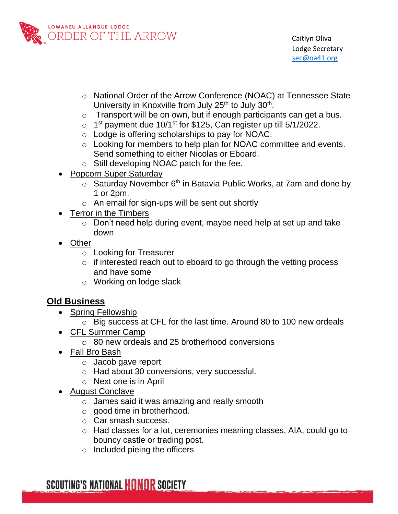

- o National Order of the Arrow Conference (NOAC) at Tennessee State University in Knoxville from July 25<sup>th</sup> to July 30<sup>th</sup>.
- $\circ$  Transport will be on own, but if enough participants can get a bus.
- $\circ$  1<sup>st</sup> payment due 10/1<sup>st</sup> for \$125, Can register up till 5/1/2022.
- o Lodge is offering scholarships to pay for NOAC.
- o Looking for members to help plan for NOAC committee and events. Send something to either Nicolas or Eboard.
- o Still developing NOAC patch for the fee.
- Popcorn Super Saturday
	- $\circ$  Saturday November 6<sup>th</sup> in Batavia Public Works, at 7am and done by 1 or 2pm.
	- $\circ$  An email for sign-ups will be sent out shortly
- Terror in the Timbers
	- o Don't need help during event, maybe need help at set up and take down
- **Other** 
	- o Looking for Treasurer
	- o if interested reach out to eboard to go through the vetting process and have some
	- o Working on lodge slack

# **Old Business**

- Spring Fellowship
	- o Big success at CFL for the last time. Around 80 to 100 new ordeals
- CFL Summer Camp
	- o 80 new ordeals and 25 brotherhood conversions
- Fall Bro Bash
	- o Jacob gave report
	- o Had about 30 conversions, very successful.
	- o Next one is in April
- August Conclave
	- o James said it was amazing and really smooth
	- o good time in brotherhood.
	- o Car smash success.
	- o Had classes for a lot, ceremonies meaning classes, AIA, could go to bouncy castle or trading post.
	- $\circ$  Included pieing the officers